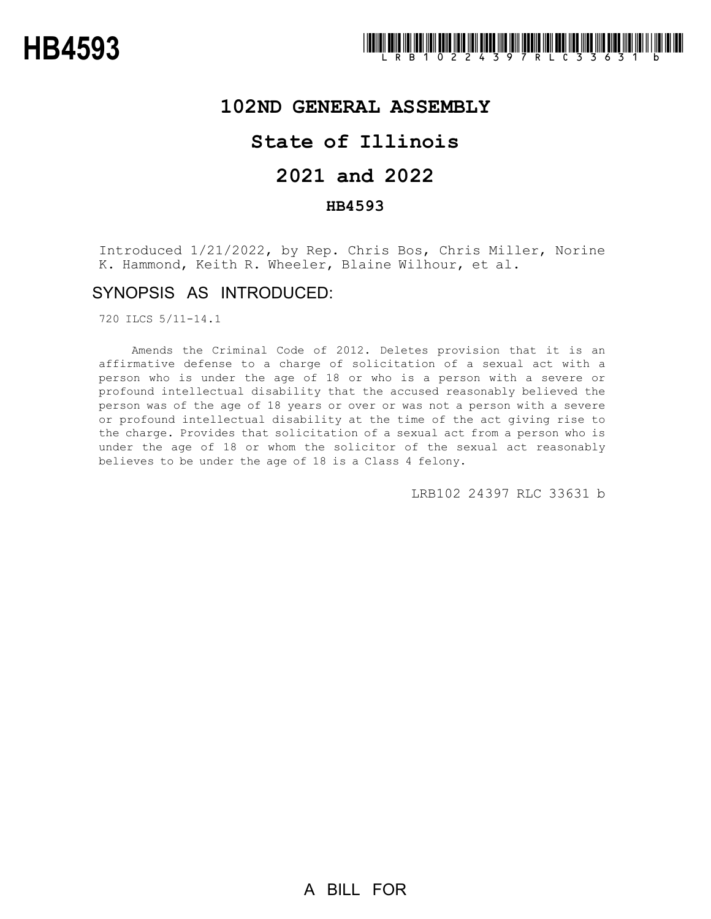## **102ND GENERAL ASSEMBLY**

# **State of Illinois**

# **2021 and 2022**

### **HB4593**

Introduced 1/21/2022, by Rep. Chris Bos, Chris Miller, Norine K. Hammond, Keith R. Wheeler, Blaine Wilhour, et al.

## SYNOPSIS AS INTRODUCED:

720 ILCS 5/11-14.1

Amends the Criminal Code of 2012. Deletes provision that it is an affirmative defense to a charge of solicitation of a sexual act with a person who is under the age of 18 or who is a person with a severe or profound intellectual disability that the accused reasonably believed the person was of the age of 18 years or over or was not a person with a severe or profound intellectual disability at the time of the act giving rise to the charge. Provides that solicitation of a sexual act from a person who is under the age of 18 or whom the solicitor of the sexual act reasonably believes to be under the age of 18 is a Class 4 felony.

LRB102 24397 RLC 33631 b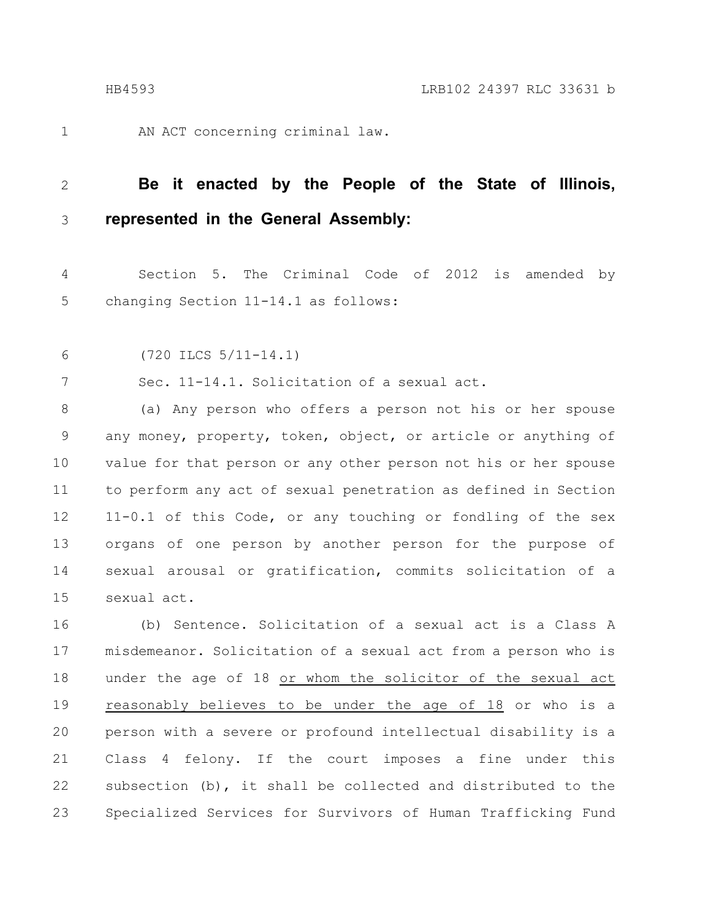1

AN ACT concerning criminal law.

#### **Be it enacted by the People of the State of Illinois, represented in the General Assembly:** 2 3

Section 5. The Criminal Code of 2012 is amended by changing Section 11-14.1 as follows: 4 5

(720 ILCS 5/11-14.1) 6

Sec. 11-14.1. Solicitation of a sexual act. 7

(a) Any person who offers a person not his or her spouse any money, property, token, object, or article or anything of value for that person or any other person not his or her spouse to perform any act of sexual penetration as defined in Section 11-0.1 of this Code, or any touching or fondling of the sex organs of one person by another person for the purpose of sexual arousal or gratification, commits solicitation of a sexual act. 8 9 10 11 12 13 14 15

(b) Sentence. Solicitation of a sexual act is a Class A misdemeanor. Solicitation of a sexual act from a person who is under the age of 18 or whom the solicitor of the sexual act reasonably believes to be under the age of 18 or who is a person with a severe or profound intellectual disability is a Class 4 felony. If the court imposes a fine under this subsection (b), it shall be collected and distributed to the Specialized Services for Survivors of Human Trafficking Fund 16 17 18 19 20 21 22 23